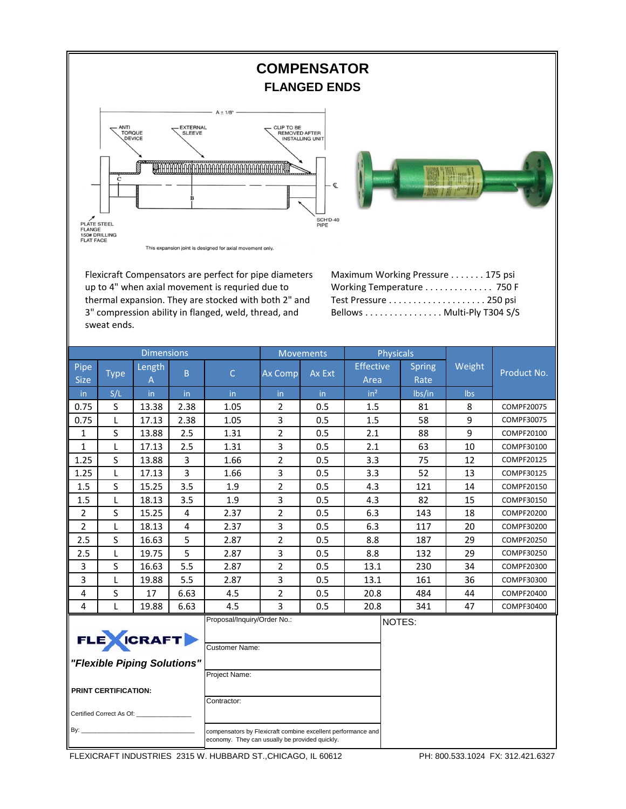

Flexicraft Compensators are perfect for pipe diameters up to 4" when axial movement is requried due to thermal expansion. They are stocked with both 2" and 3" compression ability in flanged, weld, thread, and sweat ends.

Maximum Working Pressure . . . . . . . 175 psi Working Temperature . . . . . . . . . . . . . 750 F Test Pressure . . . . . . . . . . . . . . . . . . . . 250 psi Bellows . . . . . . . . . . . . . . . . Multi‐Ply T304 S/S

|                                                                                                                                                                                                                                                  |             | <b>Dimensions</b>  |                |                                                                | Movements      |        | <b>Physicals</b>         |                       |        |             |  |
|--------------------------------------------------------------------------------------------------------------------------------------------------------------------------------------------------------------------------------------------------|-------------|--------------------|----------------|----------------------------------------------------------------|----------------|--------|--------------------------|-----------------------|--------|-------------|--|
| Pipe<br><b>Size</b>                                                                                                                                                                                                                              | <b>Type</b> | <b>Length</b><br>Α | B              | $\overline{C}$                                                 | Ax Comp        | Ax Ext | <b>Effective</b><br>Area | <b>Spring</b><br>Rate | Weight | Product No. |  |
| in.                                                                                                                                                                                                                                              | S/L         | in                 | in.            | in                                                             | in.            | in.    | in <sup>2</sup>          | Ibs/in                | Ibs    |             |  |
| 0.75                                                                                                                                                                                                                                             | S           | 13.38              | 2.38           | 1.05                                                           | $\overline{2}$ | 0.5    | 1.5                      | 81                    | 8      | COMPF20075  |  |
| 0.75                                                                                                                                                                                                                                             | L           | 17.13              | 2.38           | 1.05                                                           | 3              | 0.5    | 1.5                      | 58                    | 9      | COMPF30075  |  |
| $\mathbf{1}$                                                                                                                                                                                                                                     | S           | 13.88              | 2.5            | 1.31                                                           | $\overline{2}$ | 0.5    | 2.1                      | 88                    | 9      | COMPF20100  |  |
| $\mathbf{1}$                                                                                                                                                                                                                                     | L           | 17.13              | 2.5            | 1.31                                                           | 3              | 0.5    | 2.1                      | 63                    | 10     | COMPF30100  |  |
| 1.25                                                                                                                                                                                                                                             | S           | 13.88              | 3              | 1.66                                                           | $\overline{2}$ | 0.5    | 3.3                      | 75                    | 12     | COMPF20125  |  |
| 1.25                                                                                                                                                                                                                                             | L           | 17.13              | 3              | 1.66                                                           | 3              | 0.5    | 3.3                      | 52                    | 13     | COMPF30125  |  |
| 1.5                                                                                                                                                                                                                                              | S           | 15.25              | 3.5            | 1.9                                                            | $\overline{2}$ | 0.5    | 4.3                      | 121                   | 14     | COMPF20150  |  |
| 1.5                                                                                                                                                                                                                                              | L           | 18.13              | 3.5            | 1.9                                                            | 3              | 0.5    | 4.3                      | 82                    | 15     | COMPF30150  |  |
| $\overline{2}$                                                                                                                                                                                                                                   | S           | 15.25              | $\overline{4}$ | 2.37                                                           | $\overline{2}$ | 0.5    | 6.3                      | 143                   | 18     | COMPF20200  |  |
| $\overline{2}$                                                                                                                                                                                                                                   | L           | 18.13              | 4              | 2.37                                                           | 3              | 0.5    | 6.3                      | 117                   | 20     | COMPF30200  |  |
| 2.5                                                                                                                                                                                                                                              | S           | 16.63              | 5              | 2.87                                                           | $\overline{2}$ | 0.5    | 8.8                      | 187                   | 29     | COMPF20250  |  |
| 2.5                                                                                                                                                                                                                                              | L           | 19.75              | 5              | 2.87                                                           | 3              | 0.5    | 8.8                      | 132                   | 29     | COMPF30250  |  |
| 3                                                                                                                                                                                                                                                | S           | 16.63              | 5.5            | 2.87                                                           | 2              | 0.5    | 13.1                     | 230                   | 34     | COMPF20300  |  |
| 3                                                                                                                                                                                                                                                | L           | 19.88              | 5.5            | 2.87                                                           | 3              | 0.5    | 13.1                     | 161                   | 36     | COMPF30300  |  |
| 4                                                                                                                                                                                                                                                | S           | 17                 | 6.63           | 4.5                                                            | $\overline{2}$ | 0.5    | 20.8                     | 484                   | 44     | COMPF20400  |  |
| 4                                                                                                                                                                                                                                                | L           | 19.88              | 6.63           | 4.5                                                            | 3              | 0.5    | 20.8                     | 341                   | 47     | COMPF30400  |  |
| FLE CRAFT<br>"Flexible Piping Solutions"                                                                                                                                                                                                         |             |                    |                | Proposal/Inquiry/Order No.:<br>NOTES:<br><b>Customer Name:</b> |                |        |                          |                       |        |             |  |
| Project Name:<br><b>PRINT CERTIFICATION:</b><br>Contractor:<br>Certified Correct As Of: _______________<br>By: $\qquad \qquad$<br>compensators by Flexicraft combine excellent performance and<br>economy. They can usually be provided quickly. |             |                    |                |                                                                |                |        |                          |                       |        |             |  |

FLEXICRAFT INDUSTRIES 2315 W. HUBBARD ST.,CHICAGO, IL 60612 PH: 800.533.1024 FX: 312.421.6327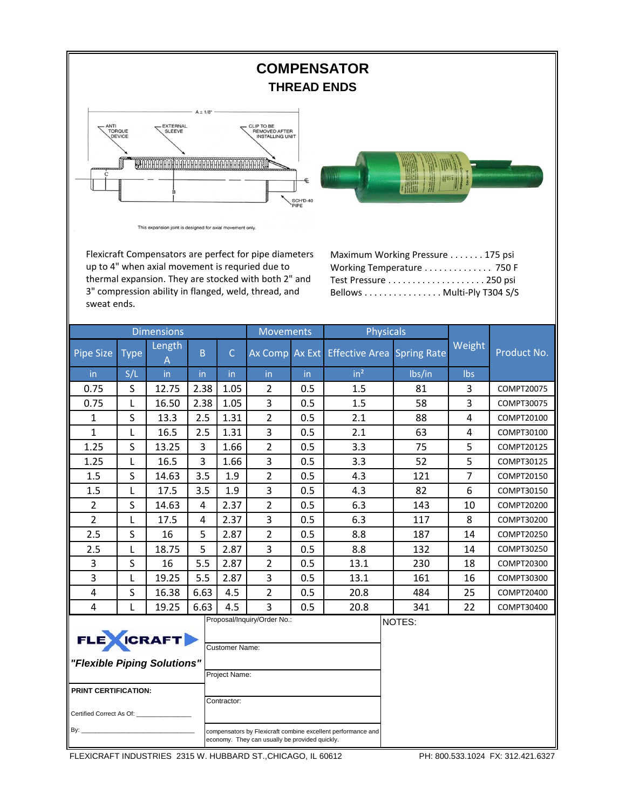

FLEXICRAFT INDUSTRIES 2315 W. HUBBARD ST.,CHICAGO, IL 60612 PH: 800.533.1024 FX: 312.421.6327